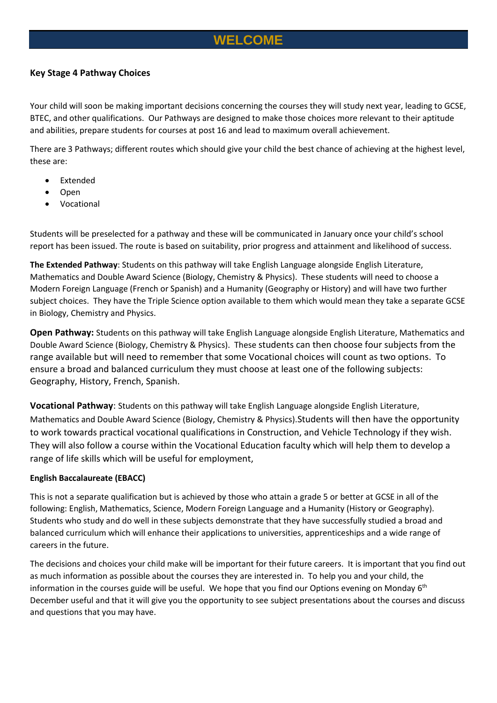## **WELCOME**

#### **Key Stage 4 Pathway Choices**

Your child will soon be making important decisions concerning the courses they will study next year, leading to GCSE, BTEC, and other qualifications. Our Pathways are designed to make those choices more relevant to their aptitude and abilities, prepare students for courses at post 16 and lead to maximum overall achievement.

There are 3 Pathways; different routes which should give your child the best chance of achieving at the highest level, these are:

- **Extended**
- Open
- Vocational

Students will be preselected for a pathway and these will be communicated in January once your child's school report has been issued. The route is based on suitability, prior progress and attainment and likelihood of success.

**The Extended Pathway**: Students on this pathway will take English Language alongside English Literature, Mathematics and Double Award Science (Biology, Chemistry & Physics). These students will need to choose a Modern Foreign Language (French or Spanish) and a Humanity (Geography or History) and will have two further subject choices. They have the Triple Science option available to them which would mean they take a separate GCSE in Biology, Chemistry and Physics.

**Open Pathway:** Students on this pathway will take English Language alongside English Literature, Mathematics and Double Award Science (Biology, Chemistry & Physics). These students can then choose four subjects from the range available but will need to remember that some Vocational choices will count as two options. To ensure a broad and balanced curriculum they must choose at least one of the following subjects: Geography, History, French, Spanish.

**Vocational Pathway**: Students on this pathway will take English Language alongside English Literature, Mathematics and Double Award Science (Biology, Chemistry & Physics).Students will then have the opportunity to work towards practical vocational qualifications in Construction, and Vehicle Technology if they wish. They will also follow a course within the Vocational Education faculty which will help them to develop a range of life skills which will be useful for employment,

#### **English Baccalaureate (EBACC)**

This is not a separate qualification but is achieved by those who attain a grade 5 or better at GCSE in all of the following: English, Mathematics, Science, Modern Foreign Language and a Humanity (History or Geography). Students who study and do well in these subjects demonstrate that they have successfully studied a broad and balanced curriculum which will enhance their applications to universities, apprenticeships and a wide range of careers in the future.

The decisions and choices your child make will be important for their future careers. It is important that you find out as much information as possible about the courses they are interested in. To help you and your child, the information in the courses guide will be useful. We hope that you find our Options evening on Monday 6<sup>th</sup> December useful and that it will give you the opportunity to see subject presentations about the courses and discuss and questions that you may have.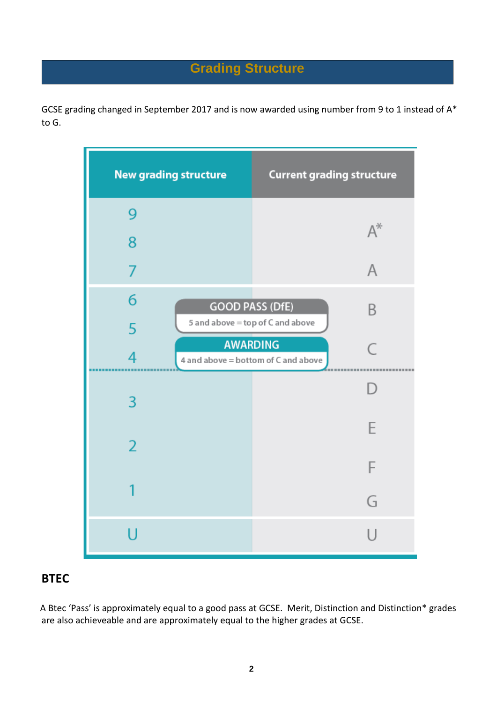## **Grading Structure**

GCSE grading changed in September 2017 and is now awarded using number from 9 to 1 instead of A\* to G.



## **BTEC**

A Btec 'Pass' is approximately equal to a good pass at GCSE. Merit, Distinction and Distinction\* grades are also achieveable and are approximately equal to the higher grades at GCSE.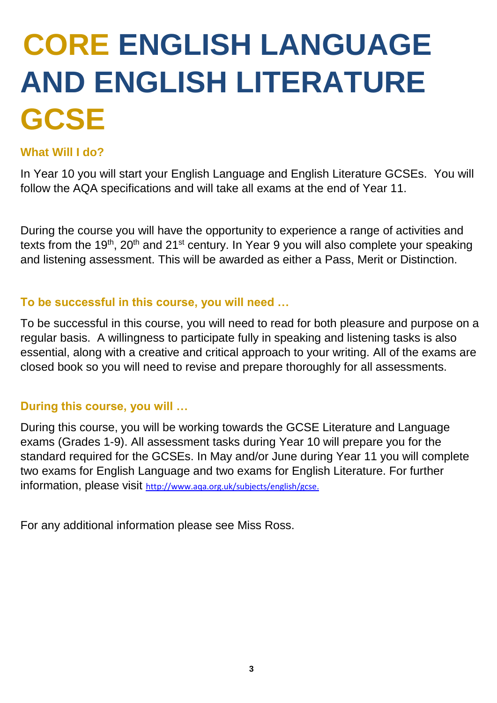## **CORE ENGLISH LANGUAGE AND ENGLISH LITERATURE GCSE**

## **What Will I do?**

In Year 10 you will start your English Language and English Literature GCSEs. You will follow the AQA specifications and will take all exams at the end of Year 11.

During the course you will have the opportunity to experience a range of activities and texts from the 19<sup>th</sup>, 20<sup>th</sup> and 21<sup>st</sup> century. In Year 9 you will also complete your speaking and listening assessment. This will be awarded as either a Pass, Merit or Distinction.

## **To be successful in this course, you will need …**

To be successful in this course, you will need to read for both pleasure and purpose on a regular basis. A willingness to participate fully in speaking and listening tasks is also essential, along with a creative and critical approach to your writing. All of the exams are closed book so you will need to revise and prepare thoroughly for all assessments.

## **During this course, you will …**

During this course, you will be working towards the GCSE Literature and Language exams (Grades 1-9). All assessment tasks during Year 10 will prepare you for the standard required for the GCSEs. In May and/or June during Year 11 you will complete two exams for English Language and two exams for English Literature. For further information, please visit [http://www.aqa.org.uk/subjects/english/gcse.](http://www.aqa.org.uk/subjects/english/gcse)

For any additional information please see Miss Ross.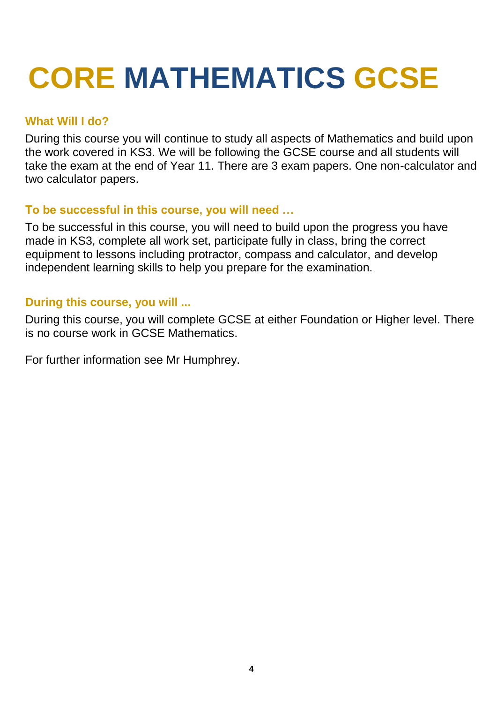## **CORE MATHEMATICS GCSE**

## **What Will I do?**

During this course you will continue to study all aspects of Mathematics and build upon the work covered in KS3. We will be following the GCSE course and all students will take the exam at the end of Year 11. There are 3 exam papers. One non-calculator and two calculator papers.

## **To be successful in this course, you will need …**

To be successful in this course, you will need to build upon the progress you have made in KS3, complete all work set, participate fully in class, bring the correct equipment to lessons including protractor, compass and calculator, and develop independent learning skills to help you prepare for the examination.

## **During this course, you will ...**

During this course, you will complete GCSE at either Foundation or Higher level. There is no course work in GCSE Mathematics.

For further information see Mr Humphrey.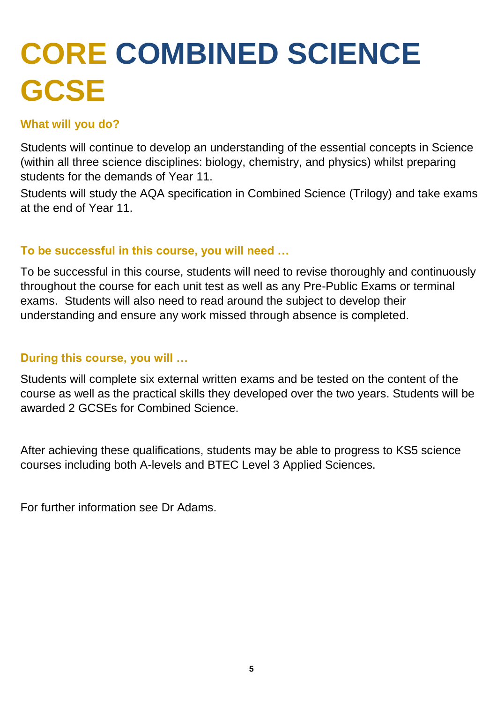## **CORE COMBINED SCIENCE GCSE**

## **What will you do?**

Students will continue to develop an understanding of the essential concepts in Science (within all three science disciplines: biology, chemistry, and physics) whilst preparing students for the demands of Year 11.

Students will study the AQA specification in Combined Science (Trilogy) and take exams at the end of Year 11.

## **To be successful in this course, you will need …**

To be successful in this course, students will need to revise thoroughly and continuously throughout the course for each unit test as well as any Pre-Public Exams or terminal exams. Students will also need to read around the subject to develop their understanding and ensure any work missed through absence is completed.

## **During this course, you will …**

Students will complete six external written exams and be tested on the content of the course as well as the practical skills they developed over the two years. Students will be awarded 2 GCSEs for Combined Science.

After achieving these qualifications, students may be able to progress to KS5 science courses including both A-levels and BTEC Level 3 Applied Sciences.

For further information see Dr Adams.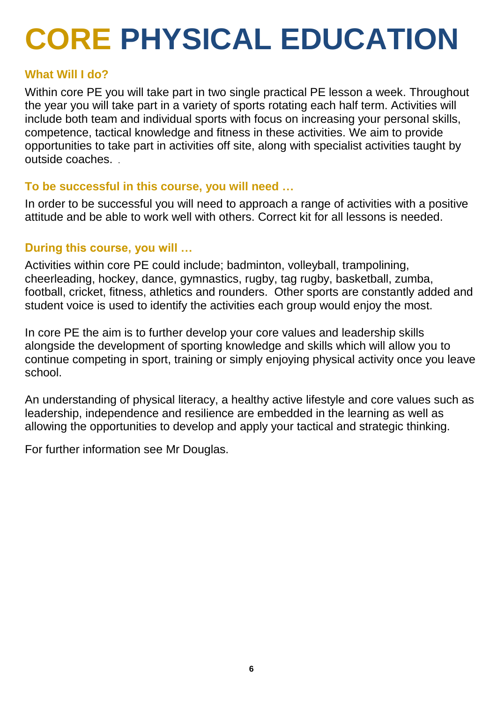## **CORE PHYSICAL EDUCATION**

### **What Will I do?**

Within core PE you will take part in two single practical PE lesson a week. Throughout the year you will take part in a variety of sports rotating each half term. Activities will include both team and individual sports with focus on increasing your personal skills, competence, tactical knowledge and fitness in these activities. We aim to provide opportunities to take part in activities off site, along with specialist activities taught by outside coaches. .

### **To be successful in this course, you will need …**

In order to be successful you will need to approach a range of activities with a positive attitude and be able to work well with others. Correct kit for all lessons is needed.

## **During this course, you will …**

Activities within core PE could include; badminton, volleyball, trampolining, cheerleading, hockey, dance, gymnastics, rugby, tag rugby, basketball, zumba, football, cricket, fitness, athletics and rounders. Other sports are constantly added and student voice is used to identify the activities each group would enjoy the most.

In core PE the aim is to further develop your core values and leadership skills alongside the development of sporting knowledge and skills which will allow you to continue competing in sport, training or simply enjoying physical activity once you leave school.

An understanding of physical literacy, a healthy active lifestyle and core values such as leadership, independence and resilience are embedded in the learning as well as allowing the opportunities to develop and apply your tactical and strategic thinking.

For further information see Mr Douglas.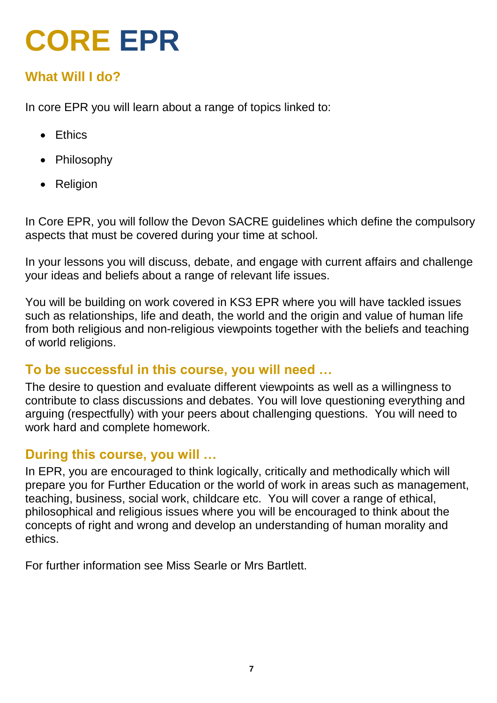## **CORE EPR**

## **What Will I do?**

In core EPR you will learn about a range of topics linked to:

- Ethics
- Philosophy
- Religion

In Core EPR, you will follow the Devon SACRE guidelines which define the compulsory aspects that must be covered during your time at school.

In your lessons you will discuss, debate, and engage with current affairs and challenge your ideas and beliefs about a range of relevant life issues.

You will be building on work covered in KS3 EPR where you will have tackled issues such as relationships, life and death, the world and the origin and value of human life from both religious and non-religious viewpoints together with the beliefs and teaching of world religions.

## **To be successful in this course, you will need …**

The desire to question and evaluate different viewpoints as well as a willingness to contribute to class discussions and debates. You will love questioning everything and arguing (respectfully) with your peers about challenging questions. You will need to work hard and complete homework.

## **During this course, you will …**

In EPR, you are encouraged to think logically, critically and methodically which will prepare you for Further Education or the world of work in areas such as management, teaching, business, social work, childcare etc. You will cover a range of ethical, philosophical and religious issues where you will be encouraged to think about the concepts of right and wrong and develop an understanding of human morality and ethics.

For further information see Miss Searle or Mrs Bartlett.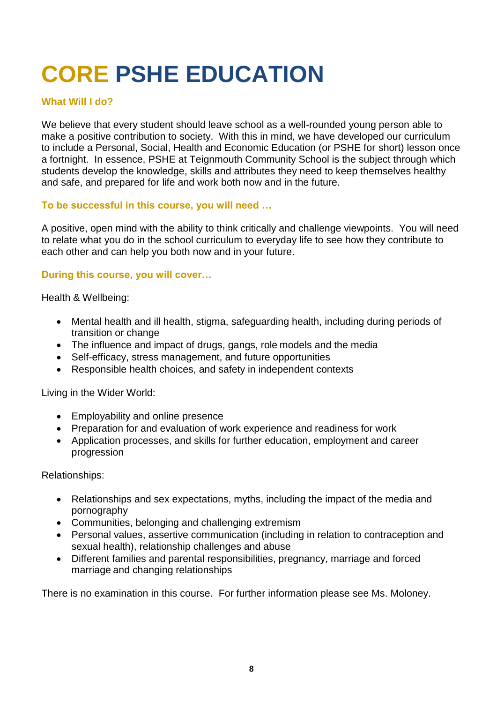## **CORE PSHE EDUCATION**

#### **What Will I do?**

We believe that every student should leave school as a well-rounded young person able to make a positive contribution to society. With this in mind, we have developed our curriculum to include a Personal, Social, Health and Economic Education (or PSHE for short) lesson once a fortnight. In essence, PSHE at Teignmouth Community School is the subject through which students develop the knowledge, skills and attributes they need to keep themselves healthy and safe, and prepared for life and work both now and in the future.

#### **To be successful in this course, you will need …**

A positive, open mind with the ability to think critically and challenge viewpoints. You will need to relate what you do in the school curriculum to everyday life to see how they contribute to each other and can help you both now and in your future.

#### **During this course, you will cover…**

Health & Wellbeing:

- Mental health and ill health, stigma, safeguarding health, including during periods of transition or change
- The influence and impact of drugs, gangs, role models and the media
- Self-efficacy, stress management, and future opportunities
- Responsible health choices, and safety in independent contexts

Living in the Wider World:

- Employability and online presence
- Preparation for and evaluation of work experience and readiness for work
- Application processes, and skills for further education, employment and career progression

Relationships:

- Relationships and sex expectations, myths, including the impact of the media and pornography
- Communities, belonging and challenging extremism
- Personal values, assertive communication (including in relation to contraception and sexual health), relationship challenges and abuse
- Different families and parental responsibilities, pregnancy, marriage and forced marriage and changing relationships

There is no examination in this course. For further information please see Ms. Moloney.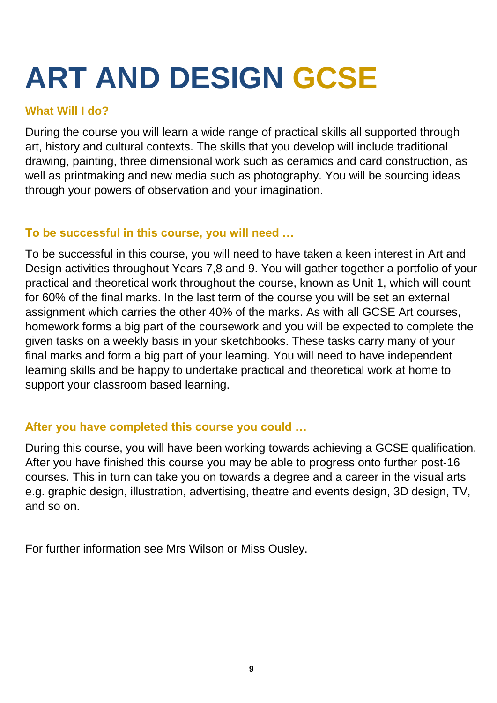# **ART AND DESIGN GCSE**

## **What Will I do?**

During the course you will learn a wide range of practical skills all supported through art, history and cultural contexts. The skills that you develop will include traditional drawing, painting, three dimensional work such as ceramics and card construction, as well as printmaking and new media such as photography. You will be sourcing ideas through your powers of observation and your imagination.

## **To be successful in this course, you will need …**

To be successful in this course, you will need to have taken a keen interest in Art and Design activities throughout Years 7,8 and 9. You will gather together a portfolio of your practical and theoretical work throughout the course, known as Unit 1, which will count for 60% of the final marks. In the last term of the course you will be set an external assignment which carries the other 40% of the marks. As with all GCSE Art courses, homework forms a big part of the coursework and you will be expected to complete the given tasks on a weekly basis in your sketchbooks. These tasks carry many of your final marks and form a big part of your learning. You will need to have independent learning skills and be happy to undertake practical and theoretical work at home to support your classroom based learning.

## **After you have completed this course you could …**

During this course, you will have been working towards achieving a GCSE qualification. After you have finished this course you may be able to progress onto further post-16 courses. This in turn can take you on towards a degree and a career in the visual arts e.g. graphic design, illustration, advertising, theatre and events design, 3D design, TV, and so on.

For further information see Mrs Wilson or Miss Ousley.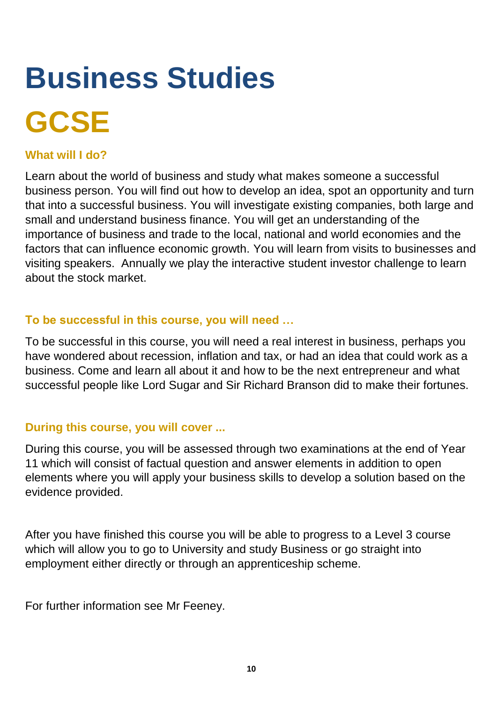# **Business Studies GCSE**

### **What will I do?**

Learn about the world of business and study what makes someone a successful business person. You will find out how to develop an idea, spot an opportunity and turn that into a successful business. You will investigate existing companies, both large and small and understand business finance. You will get an understanding of the importance of business and trade to the local, national and world economies and the factors that can influence economic growth. You will learn from visits to businesses and visiting speakers. Annually we play the interactive student investor challenge to learn about the stock market.

### **To be successful in this course, you will need …**

To be successful in this course, you will need a real interest in business, perhaps you have wondered about recession, inflation and tax, or had an idea that could work as a business. Come and learn all about it and how to be the next entrepreneur and what successful people like Lord Sugar and Sir Richard Branson did to make their fortunes.

## **During this course, you will cover ...**

During this course, you will be assessed through two examinations at the end of Year 11 which will consist of factual question and answer elements in addition to open elements where you will apply your business skills to develop a solution based on the evidence provided.

After you have finished this course you will be able to progress to a Level 3 course which will allow you to go to University and study Business or go straight into employment either directly or through an apprenticeship scheme.

For further information see Mr Feeney.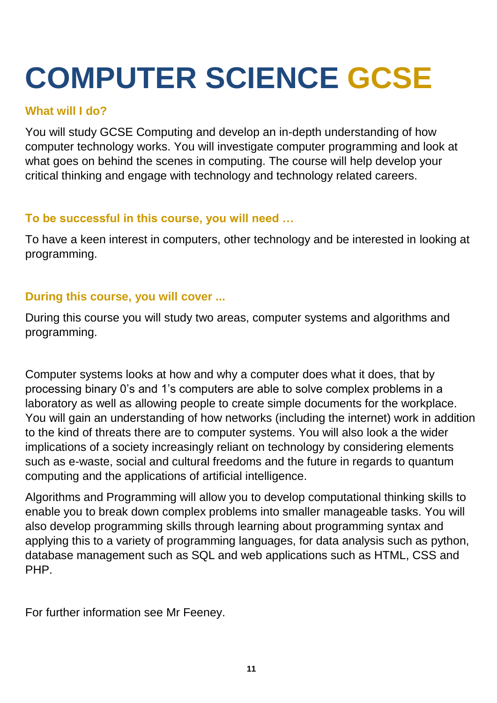## **COMPUTER SCIENCE GCSE**

## **What will I do?**

You will study GCSE Computing and develop an in-depth understanding of how computer technology works. You will investigate computer programming and look at what goes on behind the scenes in computing. The course will help develop your critical thinking and engage with technology and technology related careers.

## **To be successful in this course, you will need …**

To have a keen interest in computers, other technology and be interested in looking at programming.

## **During this course, you will cover ...**

During this course you will study two areas, computer systems and algorithms and programming.

Computer systems looks at how and why a computer does what it does, that by processing binary 0's and 1's computers are able to solve complex problems in a laboratory as well as allowing people to create simple documents for the workplace. You will gain an understanding of how networks (including the internet) work in addition to the kind of threats there are to computer systems. You will also look a the wider implications of a society increasingly reliant on technology by considering elements such as e-waste, social and cultural freedoms and the future in regards to quantum computing and the applications of artificial intelligence.

Algorithms and Programming will allow you to develop computational thinking skills to enable you to break down complex problems into smaller manageable tasks. You will also develop programming skills through learning about programming syntax and applying this to a variety of programming languages, for data analysis such as python, database management such as SQL and web applications such as HTML, CSS and PHP.

For further information see Mr Feeney.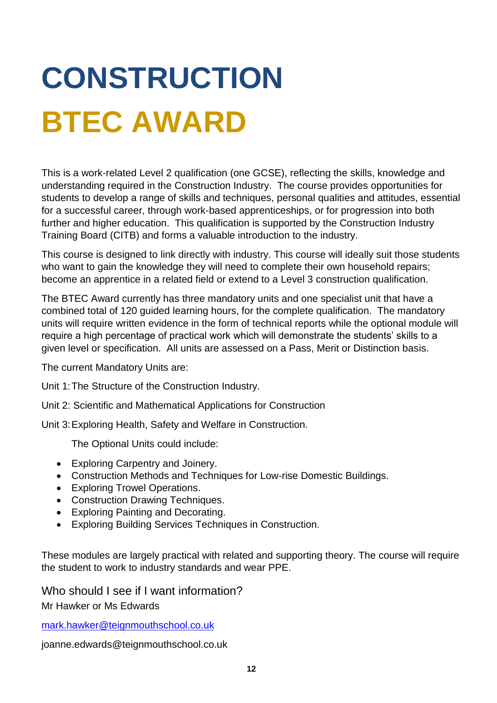# **CONSTRUCTION BTEC AWARD**

This is a work-related Level 2 qualification (one GCSE), reflecting the skills, knowledge and understanding required in the Construction Industry. The course provides opportunities for students to develop a range of skills and techniques, personal qualities and attitudes, essential for a successful career, through work-based apprenticeships, or for progression into both further and higher education. This qualification is supported by the Construction Industry Training Board (CITB) and forms a valuable introduction to the industry.

This course is designed to link directly with industry. This course will ideally suit those students who want to gain the knowledge they will need to complete their own household repairs; become an apprentice in a related field or extend to a Level 3 construction qualification.

The BTEC Award currently has three mandatory units and one specialist unit that have a combined total of 120 guided learning hours, for the complete qualification. The mandatory units will require written evidence in the form of technical reports while the optional module will require a high percentage of practical work which will demonstrate the students' skills to a given level or specification. All units are assessed on a Pass, Merit or Distinction basis.

The current Mandatory Units are:

Unit 1:The Structure of the Construction Industry.

Unit 2: Scientific and Mathematical Applications for Construction

Unit 3:Exploring Health, Safety and Welfare in Construction.

The Optional Units could include:

- Exploring Carpentry and Joinery.
- Construction Methods and Techniques for Low-rise Domestic Buildings.
- Exploring Trowel Operations.
- Construction Drawing Techniques.
- Exploring Painting and Decorating.
- Exploring Building Services Techniques in Construction.

These modules are largely practical with related and supporting theory. The course will require the student to work to industry standards and wear PPE.

Who should I see if I want information?

Mr Hawker or Ms Edwards

[mark.hawker@teignmouthschool.co.uk](mailto:mark.hawker@teignmouthschool.co.uk)

joanne.edwards@teignmouthschool.co.uk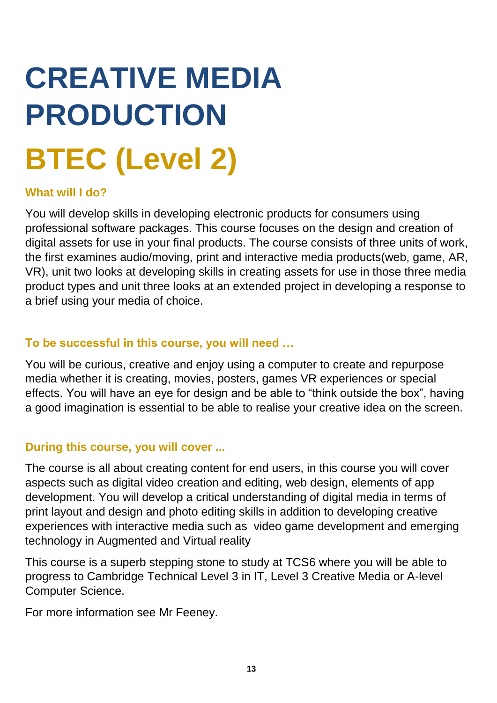# **CREATIVE MEDIA PRODUCTION BTEC (Level 2)**

### **What will I do?**

You will develop skills in developing electronic products for consumers using professional software packages. This course focuses on the design and creation of digital assets for use in your final products. The course consists of three units of work, the first examines audio/moving, print and interactive media products(web, game, AR, VR), unit two looks at developing skills in creating assets for use in those three media product types and unit three looks at an extended project in developing a response to a brief using your media of choice.

### **To be successful in this course, you will need …**

You will be curious, creative and enjoy using a computer to create and repurpose media whether it is creating, movies, posters, games VR experiences or special effects. You will have an eye for design and be able to "think outside the box", having a good imagination is essential to be able to realise your creative idea on the screen.

## **During this course, you will cover ...**

The course is all about creating content for end users, in this course you will cover aspects such as digital video creation and editing, web design, elements of app development. You will develop a critical understanding of digital media in terms of print layout and design and photo editing skills in addition to developing creative experiences with interactive media such as video game development and emerging technology in Augmented and Virtual reality

This course is a superb stepping stone to study at TCS6 where you will be able to progress to Cambridge Technical Level 3 in IT, Level 3 Creative Media or A-level Computer Science.

For more information see Mr Feeney.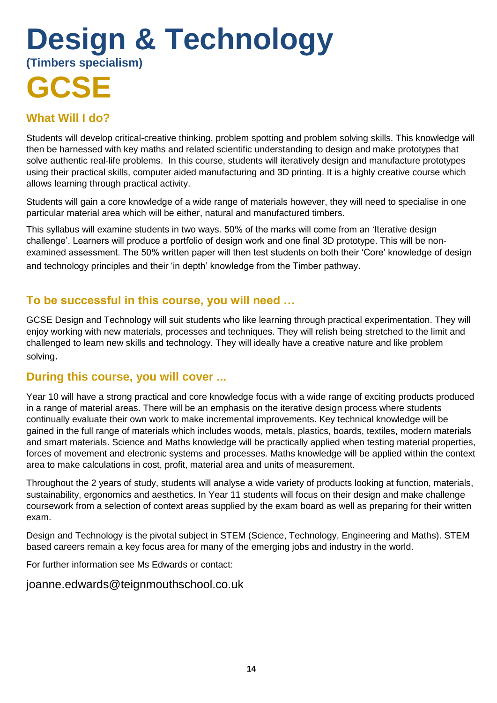## **Design & Technology (Timbers specialism) GCSE**

## **What Will I do?**

Students will develop critical-creative thinking, problem spotting and problem solving skills. This knowledge will then be harnessed with key maths and related scientific understanding to design and make prototypes that solve authentic real-life problems. In this course, students will iteratively design and manufacture prototypes using their practical skills, computer aided manufacturing and 3D printing. It is a highly creative course which allows learning through practical activity.

Students will gain a core knowledge of a wide range of materials however, they will need to specialise in one particular material area which will be either, natural and manufactured timbers.

This syllabus will examine students in two ways. 50% of the marks will come from an 'Iterative design challenge'. Learners will produce a portfolio of design work and one final 3D prototype. This will be nonexamined assessment. The 50% written paper will then test students on both their 'Core' knowledge of design and technology principles and their 'in depth' knowledge from the Timber pathway.

### **To be successful in this course, you will need …**

GCSE Design and Technology will suit students who like learning through practical experimentation. They will enjoy working with new materials, processes and techniques. They will relish being stretched to the limit and challenged to learn new skills and technology. They will ideally have a creative nature and like problem solving.

### **During this course, you will cover ...**

Year 10 will have a strong practical and core knowledge focus with a wide range of exciting products produced in a range of material areas. There will be an emphasis on the iterative design process where students continually evaluate their own work to make incremental improvements. Key technical knowledge will be gained in the full range of materials which includes woods, metals, plastics, boards, textiles, modern materials and smart materials. Science and Maths knowledge will be practically applied when testing material properties, forces of movement and electronic systems and processes. Maths knowledge will be applied within the context area to make calculations in cost, profit, material area and units of measurement.

Throughout the 2 years of study, students will analyse a wide variety of products looking at function, materials, sustainability, ergonomics and aesthetics. In Year 11 students will focus on their design and make challenge coursework from a selection of context areas supplied by the exam board as well as preparing for their written exam.

Design and Technology is the pivotal subject in STEM (Science, Technology, Engineering and Maths). STEM based careers remain a key focus area for many of the emerging jobs and industry in the world.

For further information see Ms Edwards or contact:

joanne.edwards@teignmouthschool.co.uk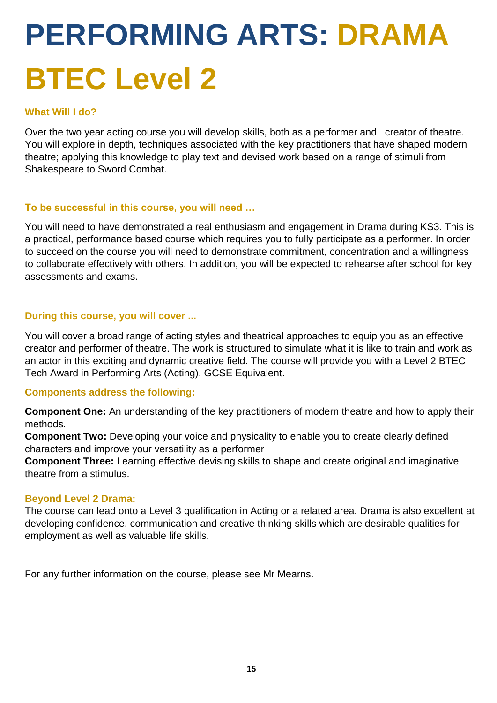# **PERFORMING ARTS: DRAMA BTEC Level 2**

#### **What Will I do?**

Over the two year acting course you will develop skills, both as a performer and creator of theatre. You will explore in depth, techniques associated with the key practitioners that have shaped modern theatre; applying this knowledge to play text and devised work based on a range of stimuli from Shakespeare to Sword Combat.

#### **To be successful in this course, you will need …**

You will need to have demonstrated a real enthusiasm and engagement in Drama during KS3. This is a practical, performance based course which requires you to fully participate as a performer. In order to succeed on the course you will need to demonstrate commitment, concentration and a willingness to collaborate effectively with others. In addition, you will be expected to rehearse after school for key assessments and exams.

#### **During this course, you will cover ...**

You will cover a broad range of acting styles and theatrical approaches to equip you as an effective creator and performer of theatre. The work is structured to simulate what it is like to train and work as an actor in this exciting and dynamic creative field. The course will provide you with a Level 2 BTEC Tech Award in Performing Arts (Acting). GCSE Equivalent.

#### **Components address the following:**

**Component One:** An understanding of the key practitioners of modern theatre and how to apply their methods.

**Component Two:** Developing your voice and physicality to enable you to create clearly defined characters and improve your versatility as a performer

**Component Three:** Learning effective devising skills to shape and create original and imaginative theatre from a stimulus.

#### **Beyond Level 2 Drama:**

The course can lead onto a Level 3 qualification in Acting or a related area. Drama is also excellent at developing confidence, communication and creative thinking skills which are desirable qualities for employment as well as valuable life skills.

For any further information on the course, please see Mr Mearns.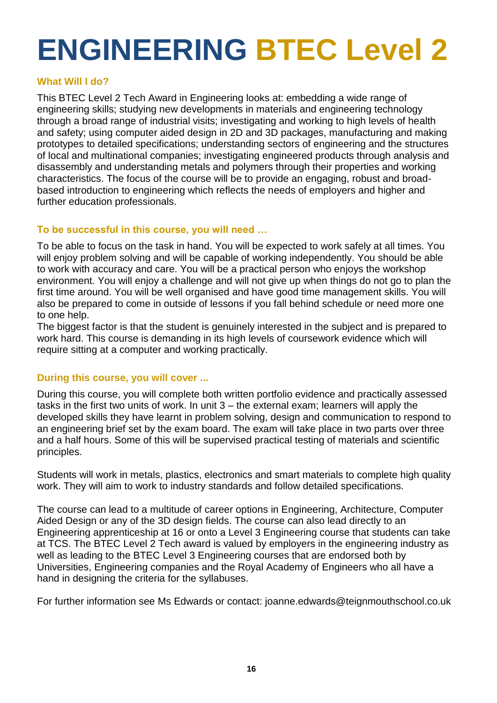## **ENGINEERING BTEC Level 2**

#### **What Will I do?**

This BTEC Level 2 Tech Award in Engineering looks at: embedding a wide range of engineering skills; studying new developments in materials and engineering technology through a broad range of industrial visits; investigating and working to high levels of health and safety; using computer aided design in 2D and 3D packages, manufacturing and making prototypes to detailed specifications; understanding sectors of engineering and the structures of local and multinational companies; investigating engineered products through analysis and disassembly and understanding metals and polymers through their properties and working characteristics. The focus of the course will be to provide an engaging, robust and broadbased introduction to engineering which reflects the needs of employers and higher and further education professionals.

#### **To be successful in this course, you will need …**

To be able to focus on the task in hand. You will be expected to work safely at all times. You will enjoy problem solving and will be capable of working independently. You should be able to work with accuracy and care. You will be a practical person who enjoys the workshop environment. You will enjoy a challenge and will not give up when things do not go to plan the first time around. You will be well organised and have good time management skills. You will also be prepared to come in outside of lessons if you fall behind schedule or need more one to one help.

The biggest factor is that the student is genuinely interested in the subject and is prepared to work hard. This course is demanding in its high levels of coursework evidence which will require sitting at a computer and working practically.

#### **During this course, you will cover ...**

During this course, you will complete both written portfolio evidence and practically assessed tasks in the first two units of work. In unit 3 – the external exam; learners will apply the developed skills they have learnt in problem solving, design and communication to respond to an engineering brief set by the exam board. The exam will take place in two parts over three and a half hours. Some of this will be supervised practical testing of materials and scientific principles.

Students will work in metals, plastics, electronics and smart materials to complete high quality work. They will aim to work to industry standards and follow detailed specifications.

The course can lead to a multitude of career options in Engineering, Architecture, Computer Aided Design or any of the 3D design fields. The course can also lead directly to an Engineering apprenticeship at 16 or onto a Level 3 Engineering course that students can take at TCS. The BTEC Level 2 Tech award is valued by employers in the engineering industry as well as leading to the BTEC Level 3 Engineering courses that are endorsed both by Universities, Engineering companies and the Royal Academy of Engineers who all have a hand in designing the criteria for the syllabuses.

For further information see Ms Edwards or contact: joanne.edwards@teignmouthschool.co.uk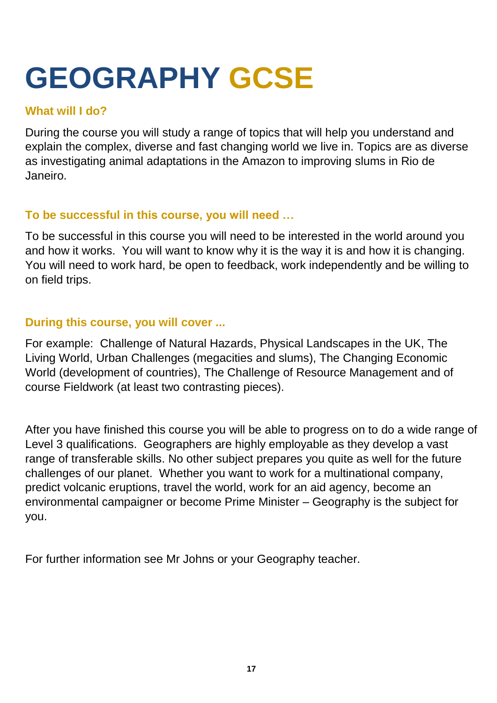## **GEOGRAPHY GCSE**

## **What will I do?**

During the course you will study a range of topics that will help you understand and explain the complex, diverse and fast changing world we live in. Topics are as diverse as investigating animal adaptations in the Amazon to improving slums in Rio de Janeiro.

## **To be successful in this course, you will need …**

To be successful in this course you will need to be interested in the world around you and how it works. You will want to know why it is the way it is and how it is changing. You will need to work hard, be open to feedback, work independently and be willing to on field trips.

## **During this course, you will cover ...**

For example: Challenge of Natural Hazards, Physical Landscapes in the UK, The Living World, Urban Challenges (megacities and slums), The Changing Economic World (development of countries), The Challenge of Resource Management and of course Fieldwork (at least two contrasting pieces).

After you have finished this course you will be able to progress on to do a wide range of Level 3 qualifications. Geographers are highly employable as they develop a vast range of transferable skills. No other subject prepares you quite as well for the future challenges of our planet. Whether you want to work for a multinational company, predict volcanic eruptions, travel the world, work for an aid agency, become an environmental campaigner or become Prime Minister – Geography is the subject for you.

For further information see Mr Johns or your Geography teacher.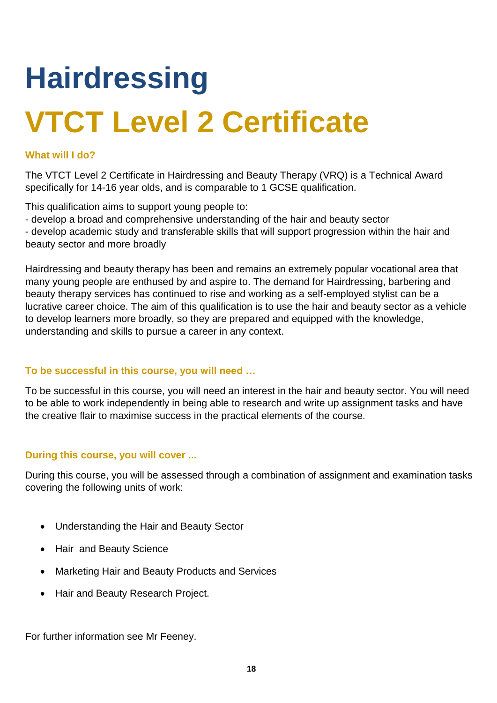# **Hairdressing VTCT Level 2 Certificate**

#### **What will I do?**

The VTCT Level 2 Certificate in Hairdressing and Beauty Therapy (VRQ) is a Technical Award specifically for 14-16 year olds, and is comparable to 1 GCSE qualification.

This qualification aims to support young people to:

- develop a broad and comprehensive understanding of the hair and beauty sector

- develop academic study and transferable skills that will support progression within the hair and beauty sector and more broadly

Hairdressing and beauty therapy has been and remains an extremely popular vocational area that many young people are enthused by and aspire to. The demand for Hairdressing, barbering and beauty therapy services has continued to rise and working as a self-employed stylist can be a lucrative career choice. The aim of this qualification is to use the hair and beauty sector as a vehicle to develop learners more broadly, so they are prepared and equipped with the knowledge, understanding and skills to pursue a career in any context.

#### **To be successful in this course, you will need …**

To be successful in this course, you will need an interest in the hair and beauty sector. You will need to be able to work independently in being able to research and write up assignment tasks and have the creative flair to maximise success in the practical elements of the course.

#### **During this course, you will cover ...**

During this course, you will be assessed through a combination of assignment and examination tasks covering the following units of work:

- Understanding the Hair and Beauty Sector
- Hair and Beauty Science
- Marketing Hair and Beauty Products and Services
- Hair and Beauty Research Project.

For further information see Mr Feeney.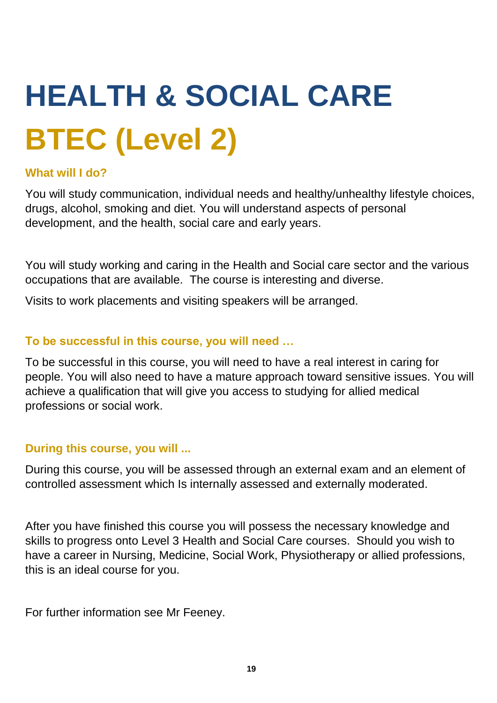# **HEALTH & SOCIAL CARE BTEC (Level 2)**

## **What will I do?**

You will study communication, individual needs and healthy/unhealthy lifestyle choices, drugs, alcohol, smoking and diet. You will understand aspects of personal development, and the health, social care and early years.

You will study working and caring in the Health and Social care sector and the various occupations that are available. The course is interesting and diverse.

Visits to work placements and visiting speakers will be arranged.

## **To be successful in this course, you will need …**

To be successful in this course, you will need to have a real interest in caring for people. You will also need to have a mature approach toward sensitive issues. You will achieve a qualification that will give you access to studying for allied medical professions or social work.

## **During this course, you will ...**

During this course, you will be assessed through an external exam and an element of controlled assessment which Is internally assessed and externally moderated.

After you have finished this course you will possess the necessary knowledge and skills to progress onto Level 3 Health and Social Care courses. Should you wish to have a career in Nursing, Medicine, Social Work, Physiotherapy or allied professions, this is an ideal course for you.

For further information see Mr Feeney.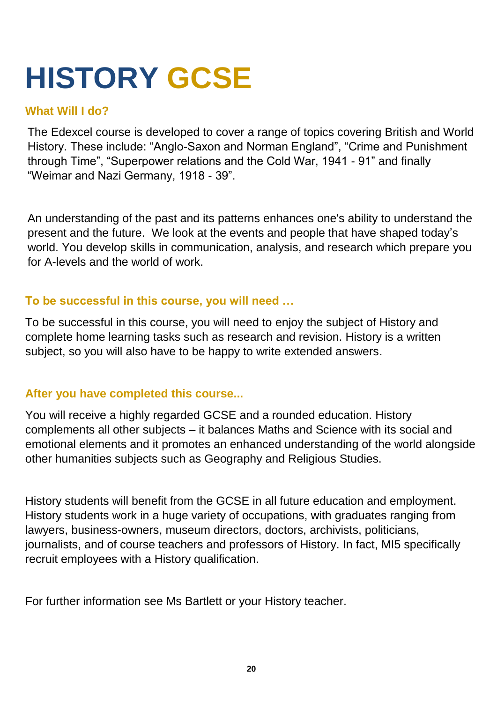## **HISTORY GCSE**

## **What Will I do?**

The Edexcel course is developed to cover a range of topics covering British and World History. These include: "Anglo-Saxon and Norman England", "Crime and Punishment through Time", "Superpower relations and the Cold War, 1941 - 91" and finally "Weimar and Nazi Germany, 1918 - 39".

An understanding of the past and its patterns enhances one's ability to understand the present and the future. We look at the events and people that have shaped today's world. You develop skills in communication, analysis, and research which prepare you for A-levels and the world of work.

### **To be successful in this course, you will need …**

To be successful in this course, you will need to enjoy the subject of History and complete home learning tasks such as research and revision. History is a written subject, so you will also have to be happy to write extended answers.

## **After you have completed this course...**

You will receive a highly regarded GCSE and a rounded education. History complements all other subjects – it balances Maths and Science with its social and emotional elements and it promotes an enhanced understanding of the world alongside other humanities subjects such as Geography and Religious Studies.

History students will benefit from the GCSE in all future education and employment. History students work in a huge variety of occupations, with graduates ranging from lawyers, business-owners, museum directors, doctors, archivists, politicians, journalists, and of course teachers and professors of History. In fact, MI5 specifically recruit employees with a History qualification.

For further information see Ms Bartlett or your History teacher.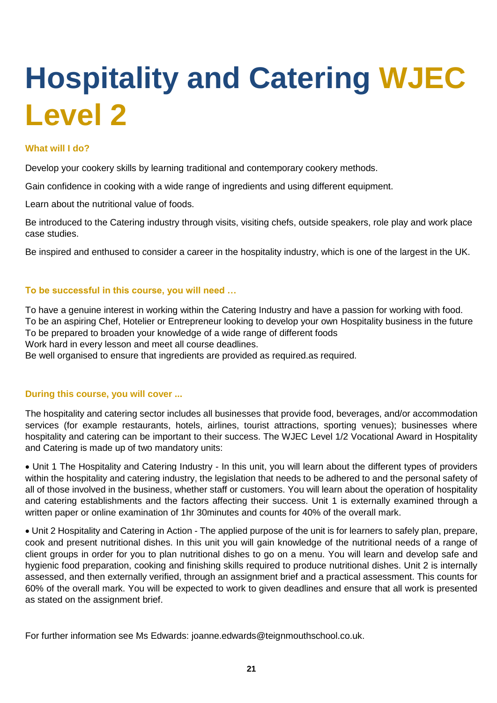## **Hospitality and Catering WJEC Level 2**

#### **What will I do?**

Develop your cookery skills by learning traditional and contemporary cookery methods.

Gain confidence in cooking with a wide range of ingredients and using different equipment.

Learn about the nutritional value of foods.

Be introduced to the Catering industry through visits, visiting chefs, outside speakers, role play and work place case studies.

Be inspired and enthused to consider a career in the hospitality industry, which is one of the largest in the UK.

#### **To be successful in this course, you will need …**

To have a genuine interest in working within the Catering Industry and have a passion for working with food. To be an aspiring Chef, Hotelier or Entrepreneur looking to develop your own Hospitality business in the future To be prepared to broaden your knowledge of a wide range of different foods Work hard in every lesson and meet all course deadlines.

Be well organised to ensure that ingredients are provided as required.as required.

#### **During this course, you will cover ...**

The hospitality and catering sector includes all businesses that provide food, beverages, and/or accommodation services (for example restaurants, hotels, airlines, tourist attractions, sporting venues); businesses where hospitality and catering can be important to their success. The WJEC Level 1/2 Vocational Award in Hospitality and Catering is made up of two mandatory units:

• Unit 1 The Hospitality and Catering Industry - In this unit, you will learn about the different types of providers within the hospitality and catering industry, the legislation that needs to be adhered to and the personal safety of all of those involved in the business, whether staff or customers. You will learn about the operation of hospitality and catering establishments and the factors affecting their success. Unit 1 is externally examined through a written paper or online examination of 1hr 30minutes and counts for 40% of the overall mark.

• Unit 2 Hospitality and Catering in Action - The applied purpose of the unit is for learners to safely plan, prepare, cook and present nutritional dishes. In this unit you will gain knowledge of the nutritional needs of a range of client groups in order for you to plan nutritional dishes to go on a menu. You will learn and develop safe and hygienic food preparation, cooking and finishing skills required to produce nutritional dishes. Unit 2 is internally assessed, and then externally verified, through an assignment brief and a practical assessment. This counts for 60% of the overall mark. You will be expected to work to given deadlines and ensure that all work is presented as stated on the assignment brief.

For further information see Ms Edwards: joanne.edwards@teignmouthschool.co.uk.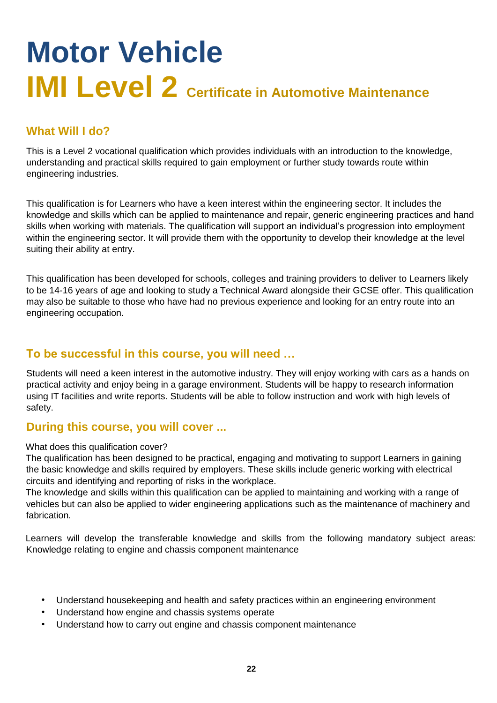## **Motor Vehicle IMI Level 2 Certificate in Automotive Maintenance**

## **What Will I do?**

This is a Level 2 vocational qualification which provides individuals with an introduction to the knowledge, understanding and practical skills required to gain employment or further study towards route within engineering industries.

This qualification is for Learners who have a keen interest within the engineering sector. It includes the knowledge and skills which can be applied to maintenance and repair, generic engineering practices and hand skills when working with materials. The qualification will support an individual's progression into employment within the engineering sector. It will provide them with the opportunity to develop their knowledge at the level suiting their ability at entry.

This qualification has been developed for schools, colleges and training providers to deliver to Learners likely to be 14-16 years of age and looking to study a Technical Award alongside their GCSE offer. This qualification may also be suitable to those who have had no previous experience and looking for an entry route into an engineering occupation.

### **To be successful in this course, you will need …**

Students will need a keen interest in the automotive industry. They will enjoy working with cars as a hands on practical activity and enjoy being in a garage environment. Students will be happy to research information using IT facilities and write reports. Students will be able to follow instruction and work with high levels of safety.

### **During this course, you will cover ...**

#### What does this qualification cover?

The qualification has been designed to be practical, engaging and motivating to support Learners in gaining the basic knowledge and skills required by employers. These skills include generic working with electrical circuits and identifying and reporting of risks in the workplace.

The knowledge and skills within this qualification can be applied to maintaining and working with a range of vehicles but can also be applied to wider engineering applications such as the maintenance of machinery and fabrication.

Learners will develop the transferable knowledge and skills from the following mandatory subject areas: Knowledge relating to engine and chassis component maintenance

- Understand housekeeping and health and safety practices within an engineering environment
- Understand how engine and chassis systems operate
- Understand how to carry out engine and chassis component maintenance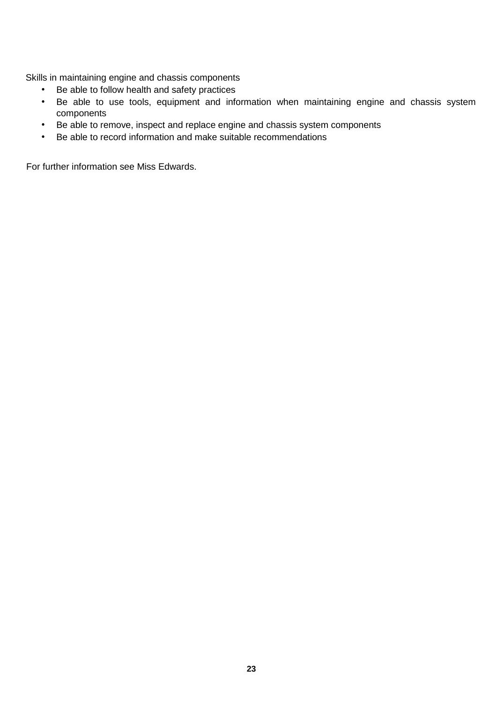Skills in maintaining engine and chassis components

- Be able to follow health and safety practices
- Be able to use tools, equipment and information when maintaining engine and chassis system components
- Be able to remove, inspect and replace engine and chassis system components
- Be able to record information and make suitable recommendations

For further information see Miss Edwards.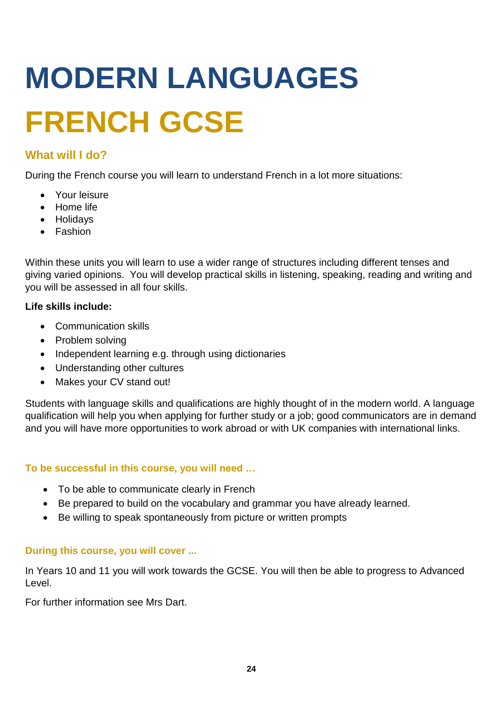# **MODERN LANGUAGES FRENCH GCSE**

## **What will I do?**

During the French course you will learn to understand French in a lot more situations:

- Your leisure
- Home life
- Holidays
- Fashion

Within these units you will learn to use a wider range of structures including different tenses and giving varied opinions. You will develop practical skills in listening, speaking, reading and writing and you will be assessed in all four skills.

#### **Life skills include:**

- Communication skills
- Problem solving
- Independent learning e.g. through using dictionaries
- Understanding other cultures
- Makes your CV stand out!

Students with language skills and qualifications are highly thought of in the modern world. A language qualification will help you when applying for further study or a job; good communicators are in demand and you will have more opportunities to work abroad or with UK companies with international links.

#### **To be successful in this course, you will need …**

- To be able to communicate clearly in French
- Be prepared to build on the vocabulary and grammar you have already learned.
- Be willing to speak spontaneously from picture or written prompts

#### **During this course, you will cover ...**

In Years 10 and 11 you will work towards the GCSE. You will then be able to progress to Advanced Level.

For further information see Mrs Dart.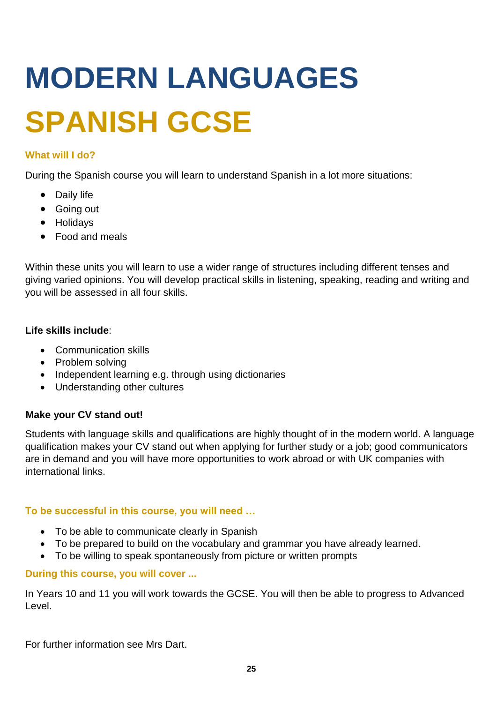# **MODERN LANGUAGES SPANISH GCSE**

#### **What will I do?**

During the Spanish course you will learn to understand Spanish in a lot more situations:

- Daily life
- Going out
- Holidays
- Food and meals

Within these units you will learn to use a wider range of structures including different tenses and giving varied opinions. You will develop practical skills in listening, speaking, reading and writing and you will be assessed in all four skills.

#### **Life skills include**:

- Communication skills
- Problem solving
- Independent learning e.g. through using dictionaries
- Understanding other cultures

#### **Make your CV stand out!**

Students with language skills and qualifications are highly thought of in the modern world. A language qualification makes your CV stand out when applying for further study or a job; good communicators are in demand and you will have more opportunities to work abroad or with UK companies with international links.

#### **To be successful in this course, you will need …**

- To be able to communicate clearly in Spanish
- To be prepared to build on the vocabulary and grammar you have already learned.
- To be willing to speak spontaneously from picture or written prompts

#### **During this course, you will cover ...**

In Years 10 and 11 you will work towards the GCSE. You will then be able to progress to Advanced Level.

For further information see Mrs Dart.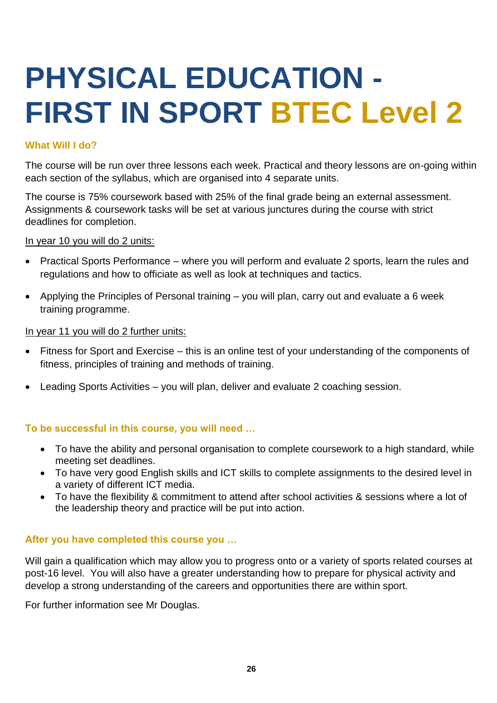## **PHYSICAL EDUCATION - FIRST IN SPORT BTEC Level 2**

#### **What Will I do?**

The course will be run over three lessons each week. Practical and theory lessons are on-going within each section of the syllabus, which are organised into 4 separate units.

The course is 75% coursework based with 25% of the final grade being an external assessment. Assignments & coursework tasks will be set at various junctures during the course with strict deadlines for completion.

In year 10 you will do 2 units:

- Practical Sports Performance where you will perform and evaluate 2 sports, learn the rules and regulations and how to officiate as well as look at techniques and tactics.
- Applying the Principles of Personal training you will plan, carry out and evaluate a 6 week training programme.

#### In year 11 you will do 2 further units:

- Fitness for Sport and Exercise this is an online test of your understanding of the components of fitness, principles of training and methods of training.
- Leading Sports Activities you will plan, deliver and evaluate 2 coaching session.

#### **To be successful in this course, you will need …**

- To have the ability and personal organisation to complete coursework to a high standard, while meeting set deadlines.
- To have very good English skills and ICT skills to complete assignments to the desired level in a variety of different ICT media.
- To have the flexibility & commitment to attend after school activities & sessions where a lot of the leadership theory and practice will be put into action.

#### **After you have completed this course you …**

Will gain a qualification which may allow you to progress onto or a variety of sports related courses at post-16 level. You will also have a greater understanding how to prepare for physical activity and develop a strong understanding of the careers and opportunities there are within sport.

For further information see Mr Douglas.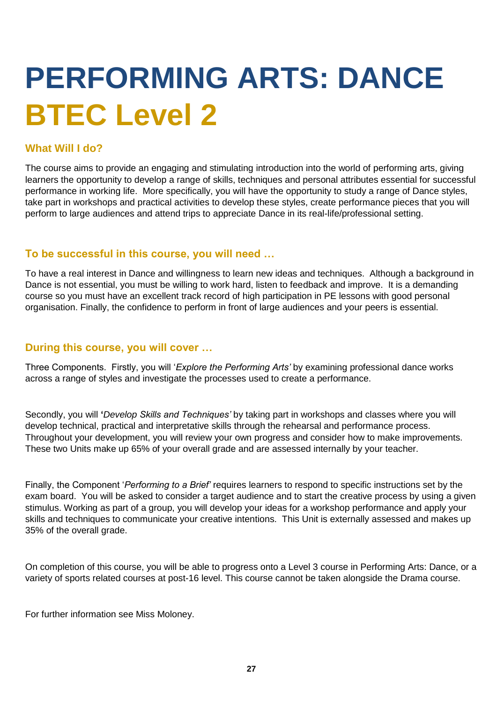## **PERFORMING ARTS: DANCE BTEC Level 2**

#### **What Will I do?**

The course aims to provide an engaging and stimulating introduction into the world of performing arts, giving learners the opportunity to develop a range of skills, techniques and personal attributes essential for successful performance in working life. More specifically, you will have the opportunity to study a range of Dance styles, take part in workshops and practical activities to develop these styles, create performance pieces that you will perform to large audiences and attend trips to appreciate Dance in its real-life/professional setting.

#### **To be successful in this course, you will need …**

To have a real interest in Dance and willingness to learn new ideas and techniques. Although a background in Dance is not essential, you must be willing to work hard, listen to feedback and improve. It is a demanding course so you must have an excellent track record of high participation in PE lessons with good personal organisation. Finally, the confidence to perform in front of large audiences and your peers is essential.

#### **During this course, you will cover …**

Three Components. Firstly, you will '*Explore the Performing Arts'* by examining professional dance works across a range of styles and investigate the processes used to create a performance.

Secondly, you will **'***Develop Skills and Techniques'* by taking part in workshops and classes where you will develop technical, practical and interpretative skills through the rehearsal and performance process. Throughout your development, you will review your own progress and consider how to make improvements. These two Units make up 65% of your overall grade and are assessed internally by your teacher.

Finally, the Component '*Performing to a Brief'* requires learners to respond to specific instructions set by the exam board. You will be asked to consider a target audience and to start the creative process by using a given stimulus. Working as part of a group, you will develop your ideas for a workshop performance and apply your skills and techniques to communicate your creative intentions.This Unit is externally assessed and makes up 35% of the overall grade.

On completion of this course, you will be able to progress onto a Level 3 course in Performing Arts: Dance, or a variety of sports related courses at post-16 level. This course cannot be taken alongside the Drama course.

For further information see Miss Moloney.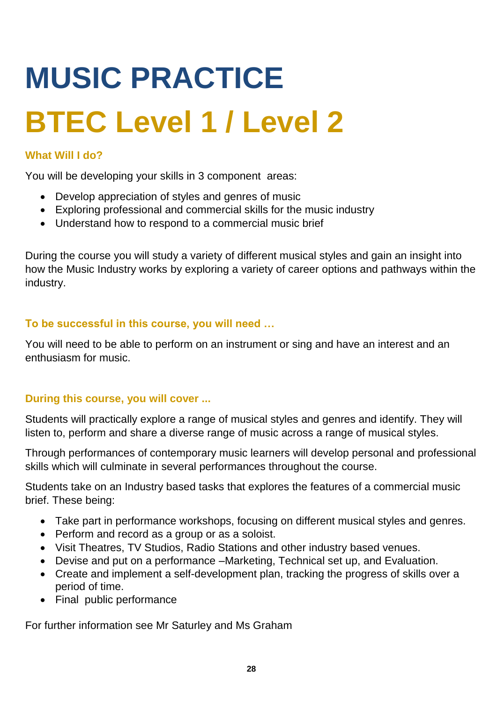# **MUSIC PRACTICE BTEC Level 1 / Level 2**

### **What Will I do?**

You will be developing your skills in 3 component areas:

- Develop appreciation of styles and genres of music
- Exploring professional and commercial skills for the music industry
- Understand how to respond to a commercial music brief

During the course you will study a variety of different musical styles and gain an insight into how the Music Industry works by exploring a variety of career options and pathways within the industry.

### **To be successful in this course, you will need …**

You will need to be able to perform on an instrument or sing and have an interest and an enthusiasm for music.

### **During this course, you will cover ...**

Students will practically explore a range of musical styles and genres and identify. They will listen to, perform and share a diverse range of music across a range of musical styles.

Through performances of contemporary music learners will develop personal and professional skills which will culminate in several performances throughout the course.

Students take on an Industry based tasks that explores the features of a commercial music brief. These being:

- Take part in performance workshops, focusing on different musical styles and genres.
- Perform and record as a group or as a soloist.
- Visit Theatres, TV Studios, Radio Stations and other industry based venues.
- Devise and put on a performance –Marketing, Technical set up, and Evaluation.
- Create and implement a self-development plan, tracking the progress of skills over a period of time.
- Final public performance

For further information see Mr Saturley and Ms Graham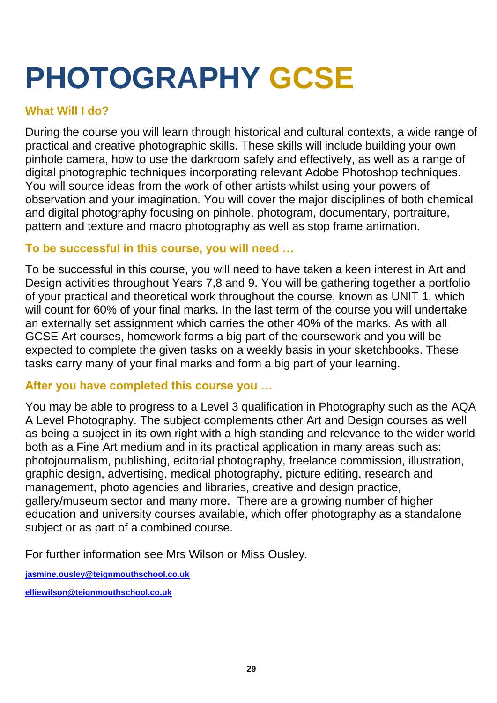## **PHOTOGRAPHY GCSE**

## **What Will I do?**

During the course you will learn through historical and cultural contexts, a wide range of practical and creative photographic skills. These skills will include building your own pinhole camera, how to use the darkroom safely and effectively, as well as a range of digital photographic techniques incorporating relevant Adobe Photoshop techniques. You will source ideas from the work of other artists whilst using your powers of observation and your imagination. You will cover the major disciplines of both chemical and digital photography focusing on pinhole, photogram, documentary, portraiture, pattern and texture and macro photography as well as stop frame animation.

## **To be successful in this course, you will need …**

To be successful in this course, you will need to have taken a keen interest in Art and Design activities throughout Years 7,8 and 9. You will be gathering together a portfolio of your practical and theoretical work throughout the course, known as UNIT 1, which will count for 60% of your final marks. In the last term of the course you will undertake an externally set assignment which carries the other 40% of the marks. As with all GCSE Art courses, homework forms a big part of the coursework and you will be expected to complete the given tasks on a weekly basis in your sketchbooks. These tasks carry many of your final marks and form a big part of your learning.

## **After you have completed this course you …**

You may be able to progress to a Level 3 qualification in Photography such as the AQA A Level Photography. The subject complements other Art and Design courses as well as being a subject in its own right with a high standing and relevance to the wider world both as a Fine Art medium and in its practical application in many areas such as: photojournalism, publishing, editorial photography, freelance commission, illustration, graphic design, advertising, medical photography, picture editing, research and management, photo agencies and libraries, creative and design practice, gallery/museum sector and many more. There are a growing number of higher education and university courses available, which offer photography as a standalone subject or as part of a combined course.

For further information see Mrs Wilson or Miss Ousley.

**[jasmine.ousley@teignmouthschool.co.uk](mailto:jasmine.ousley@teignmouthschool.co.uk)**

**[elliewilson@teignmouthschool.co.uk](mailto:elliewilson@teignmouthschool.co.uk)**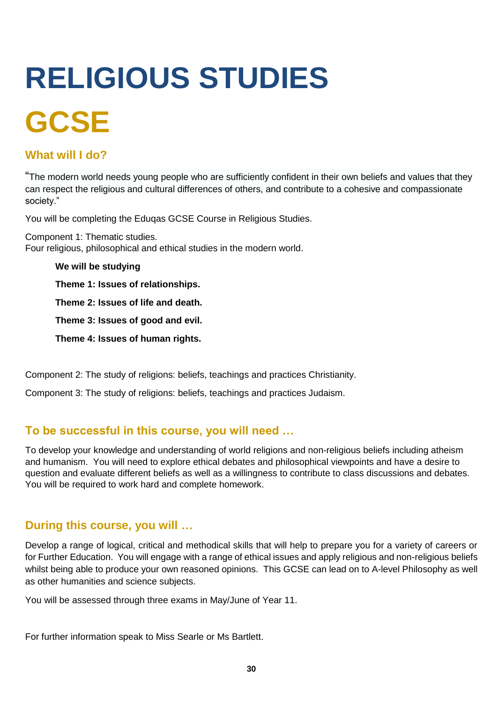# **RELIGIOUS STUDIES GCSE**

### **What will I do?**

"The modern world needs young people who are sufficiently confident in their own beliefs and values that they can respect the religious and cultural differences of others, and contribute to a cohesive and compassionate society."

You will be completing the Eduqas GCSE Course in Religious Studies.

Component 1: Thematic studies. Four religious, philosophical and ethical studies in the modern world.

**We will be studying Theme 1: Issues of relationships. Theme 2: Issues of life and death. Theme 3: Issues of good and evil. Theme 4: Issues of human rights.**

Component 2: The study of religions: beliefs, teachings and practices Christianity.

Component 3: The study of religions: beliefs, teachings and practices Judaism.

### **To be successful in this course, you will need …**

To develop your knowledge and understanding of world religions and non-religious beliefs including atheism and humanism. You will need to explore ethical debates and philosophical viewpoints and have a desire to question and evaluate different beliefs as well as a willingness to contribute to class discussions and debates. You will be required to work hard and complete homework.

### **During this course, you will …**

Develop a range of logical, critical and methodical skills that will help to prepare you for a variety of careers or for Further Education. You will engage with a range of ethical issues and apply religious and non-religious beliefs whilst being able to produce your own reasoned opinions. This GCSE can lead on to A-level Philosophy as well as other humanities and science subjects.

You will be assessed through three exams in May/June of Year 11.

For further information speak to Miss Searle or Ms Bartlett.